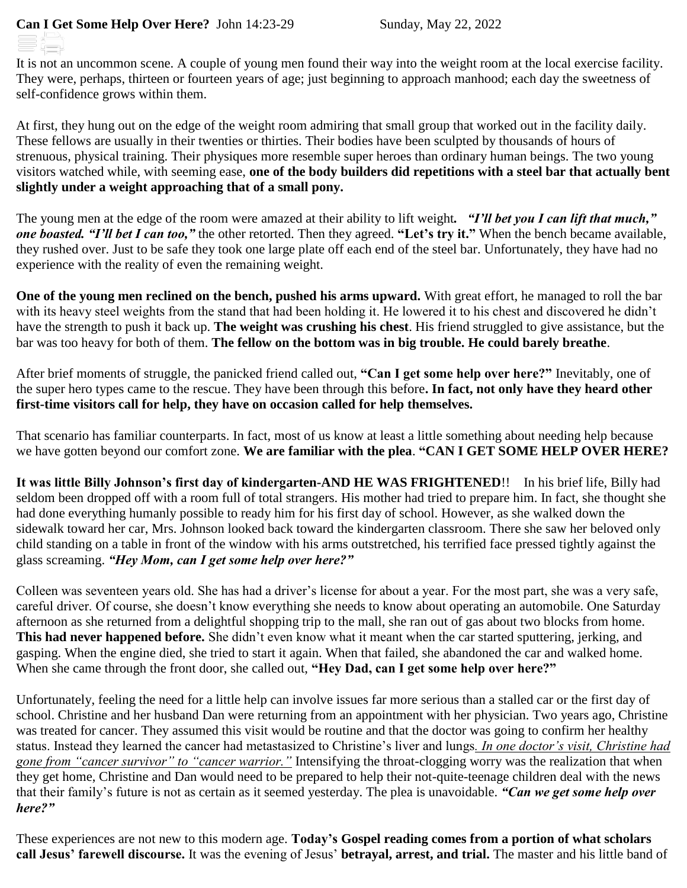It is not an uncommon scene. A couple of young men found their way into the weight room at the local exercise facility. They were, perhaps, thirteen or fourteen years of age; just beginning to approach manhood; each day the sweetness of self-confidence grows within them.

At first, they hung out on the edge of the weight room admiring that small group that worked out in the facility daily. These fellows are usually in their twenties or thirties. Their bodies have been sculpted by thousands of hours of strenuous, physical training. Their physiques more resemble super heroes than ordinary human beings. The two young visitors watched while, with seeming ease, **one of the body builders did repetitions with a steel bar that actually bent slightly under a weight approaching that of a small pony.**

The young men at the edge of the room were amazed at their ability to lift weight*. "I'll bet you I can lift that much," one boasted. "I'll bet I can too,"* the other retorted. Then they agreed. **"Let's try it."** When the bench became available, they rushed over. Just to be safe they took one large plate off each end of the steel bar. Unfortunately, they have had no experience with the reality of even the remaining weight.

**One of the young men reclined on the bench, pushed his arms upward.** With great effort, he managed to roll the bar with its heavy steel weights from the stand that had been holding it. He lowered it to his chest and discovered he didn't have the strength to push it back up. **The weight was crushing his chest**. His friend struggled to give assistance, but the bar was too heavy for both of them. **The fellow on the bottom was in big trouble. He could barely breathe**.

After brief moments of struggle, the panicked friend called out, **"Can I get some help over here?"** Inevitably, one of the super hero types came to the rescue. They have been through this before**. In fact, not only have they heard other first-time visitors call for help, they have on occasion called for help themselves.**

That scenario has familiar counterparts. In fact, most of us know at least a little something about needing help because we have gotten beyond our comfort zone. **We are familiar with the plea**. **"CAN I GET SOME HELP OVER HERE?**

**It was little Billy Johnson's first day of kindergarten-AND HE WAS FRIGHTENED**!! In his brief life, Billy had seldom been dropped off with a room full of total strangers. His mother had tried to prepare him. In fact, she thought she had done everything humanly possible to ready him for his first day of school. However, as she walked down the sidewalk toward her car, Mrs. Johnson looked back toward the kindergarten classroom. There she saw her beloved only child standing on a table in front of the window with his arms outstretched, his terrified face pressed tightly against the glass screaming. *"Hey Mom, can I get some help over here?"*

Colleen was seventeen years old. She has had a driver's license for about a year. For the most part, she was a very safe, careful driver. Of course, she doesn't know everything she needs to know about operating an automobile. One Saturday afternoon as she returned from a delightful shopping trip to the mall, she ran out of gas about two blocks from home. **This had never happened before.** She didn't even know what it meant when the car started sputtering, jerking, and gasping. When the engine died, she tried to start it again. When that failed, she abandoned the car and walked home. When she came through the front door, she called out, **"Hey Dad, can I get some help over here?"**

Unfortunately, feeling the need for a little help can involve issues far more serious than a stalled car or the first day of school. Christine and her husband Dan were returning from an appointment with her physician. Two years ago, Christine was treated for cancer. They assumed this visit would be routine and that the doctor was going to confirm her healthy status. Instead they learned the cancer had metastasized to Christine's liver and lungs*. In one doctor's visit, Christine had gone from "cancer survivor" to "cancer warrior."* Intensifying the throat-clogging worry was the realization that when they get home, Christine and Dan would need to be prepared to help their not-quite-teenage children deal with the news that their family's future is not as certain as it seemed yesterday. The plea is unavoidable. *"Can we get some help over here?"*

These experiences are not new to this modern age. **Today's Gospel reading comes from a portion of what scholars call Jesus' farewell discourse.** It was the evening of Jesus' **betrayal, arrest, and trial.** The master and his little band of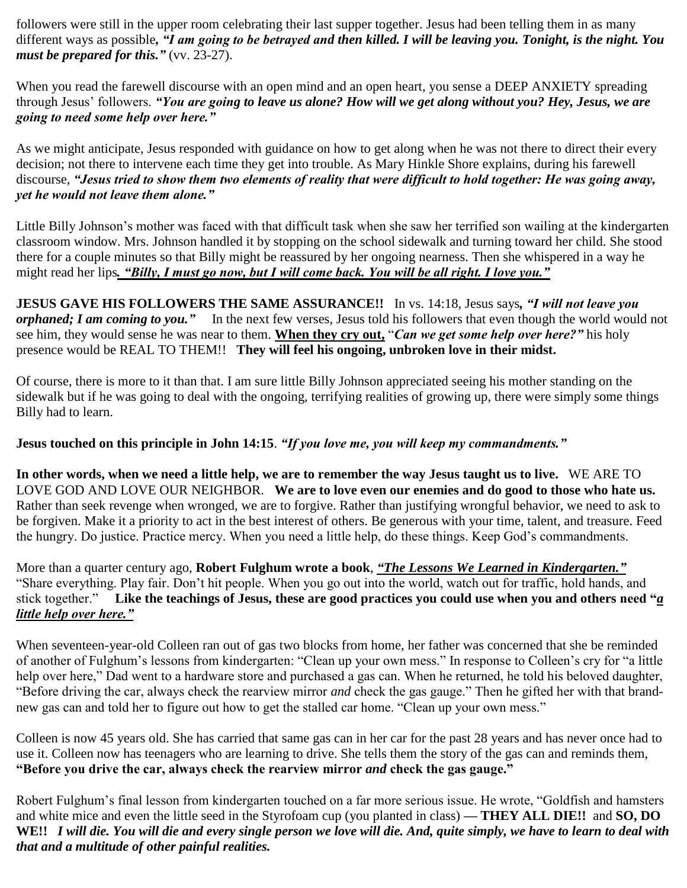followers were still in the upper room celebrating their last supper together. Jesus had been telling them in as many different ways as possible*, "I am going to be betrayed and then killed. I will be leaving you. Tonight, is the night. You must be prepared for this."* (vv. 23-27).

When you read the farewell discourse with an open mind and an open heart, you sense a DEEP ANXIETY spreading through Jesus' followers. *"You are going to leave us alone? How will we get along without you? Hey, Jesus, we are going to need some help over here."*

As we might anticipate, Jesus responded with guidance on how to get along when he was not there to direct their every decision; not there to intervene each time they get into trouble. As Mary Hinkle Shore explains, during his farewell discourse, *"Jesus tried to show them two elements of reality that were difficult to hold together: He was going away, yet he would not leave them alone."*

Little Billy Johnson's mother was faced with that difficult task when she saw her terrified son wailing at the kindergarten classroom window. Mrs. Johnson handled it by stopping on the school sidewalk and turning toward her child. She stood there for a couple minutes so that Billy might be reassured by her ongoing nearness. Then she whispered in a way he might read her lips*. "Billy, I must go now, but I will come back. You will be all right. I love you."*

**JESUS GAVE HIS FOLLOWERS THE SAME ASSURANCE!!** In vs. 14:18, Jesus says*, "I will not leave you orphaned; I am coming to you."* In the next few verses, Jesus told his followers that even though the world would not see him, they would sense he was near to them. **When they cry out,** "*Can we get some help over here?"* his holy presence would be REAL TO THEM!! **They will feel his ongoing, unbroken love in their midst.**

Of course, there is more to it than that. I am sure little Billy Johnson appreciated seeing his mother standing on the sidewalk but if he was going to deal with the ongoing, terrifying realities of growing up, there were simply some things Billy had to learn.

## **Jesus touched on this principle in John 14:15**. *"If you love me, you will keep my commandments."*

**In other words, when we need a little help, we are to remember the way Jesus taught us to live.** WE ARE TO LOVE GOD AND LOVE OUR NEIGHBOR. **We are to love even our enemies and do good to those who hate us.** Rather than seek revenge when wronged, we are to forgive. Rather than justifying wrongful behavior, we need to ask to be forgiven. Make it a priority to act in the best interest of others. Be generous with your time, talent, and treasure. Feed the hungry. Do justice. Practice mercy. When you need a little help, do these things. Keep God's commandments.

More than a quarter century ago, **Robert Fulghum wrote a book**, *"The Lessons We Learned in Kindergarten."* "Share everything. Play fair. Don't hit people. When you go out into the world, watch out for traffic, hold hands, and stick together." **Like the teachings of Jesus, these are good practices you could use when you and others need "***a little help over here."*

When seventeen-year-old Colleen ran out of gas two blocks from home, her father was concerned that she be reminded of another of Fulghum's lessons from kindergarten: "Clean up your own mess." In response to Colleen's cry for "a little help over here," Dad went to a hardware store and purchased a gas can. When he returned, he told his beloved daughter, "Before driving the car, always check the rearview mirror *and* check the gas gauge." Then he gifted her with that brandnew gas can and told her to figure out how to get the stalled car home. "Clean up your own mess."

Colleen is now 45 years old. She has carried that same gas can in her car for the past 28 years and has never once had to use it. Colleen now has teenagers who are learning to drive. She tells them the story of the gas can and reminds them, **"Before you drive the car, always check the rearview mirror** *and* **check the gas gauge."**

Robert Fulghum's final lesson from kindergarten touched on a far more serious issue. He wrote, "Goldfish and hamsters and white mice and even the little seed in the Styrofoam cup (you planted in class) **— THEY ALL DIE!!** and **SO, DO WE!!** *I will die. You will die and every single person we love will die. And, quite simply, we have to learn to deal with that and a multitude of other painful realities.*